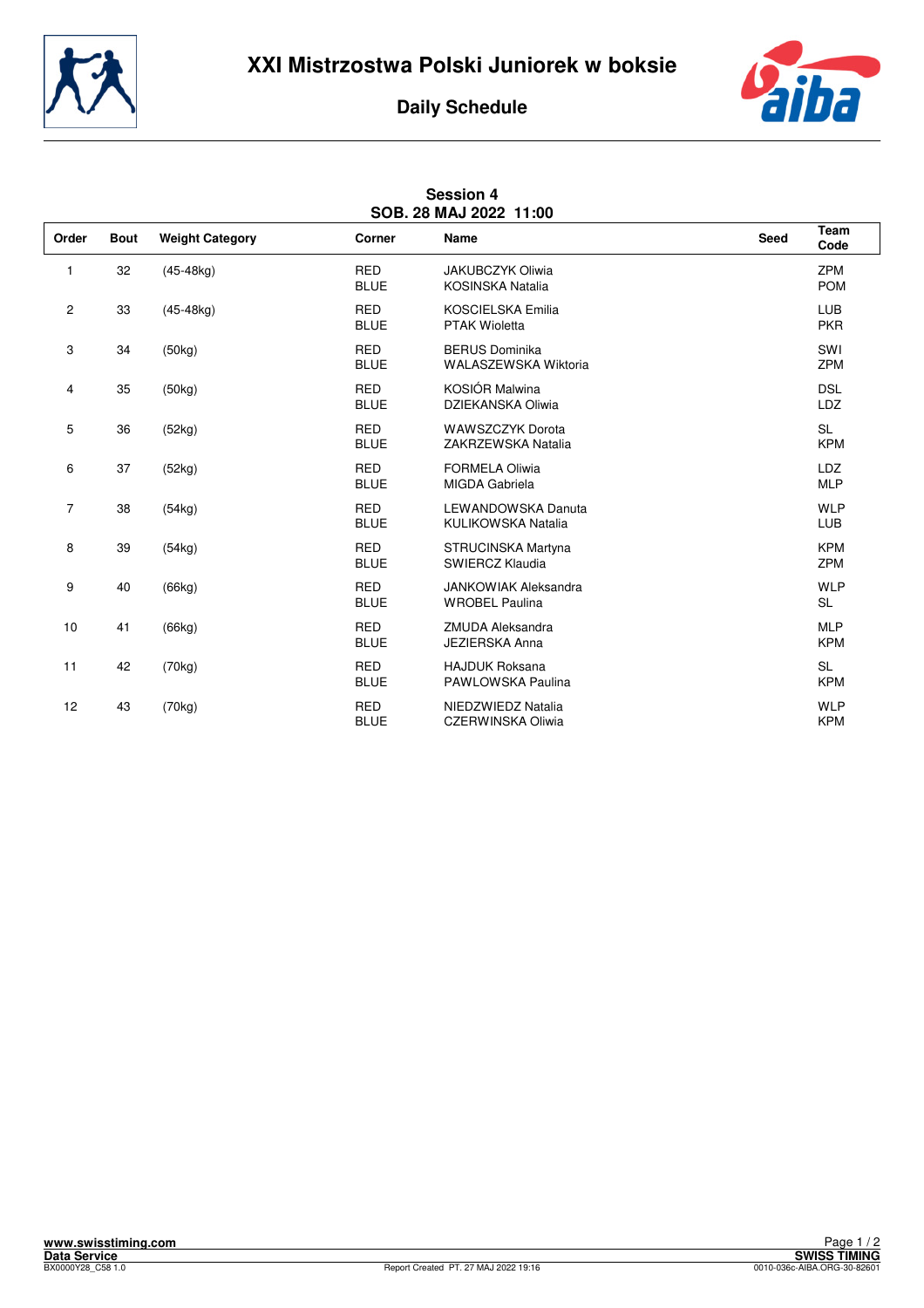



## **Daily Schedule**

| SOB. 28 MAJ 2022 11:00 |             |                        |                           |                                                      |      |                          |  |  |  |  |
|------------------------|-------------|------------------------|---------------------------|------------------------------------------------------|------|--------------------------|--|--|--|--|
| Order                  | <b>Bout</b> | <b>Weight Category</b> | Corner                    | Name                                                 | Seed | <b>Team</b><br>Code      |  |  |  |  |
| 1                      | 32          | $(45-48kg)$            | <b>RED</b><br><b>BLUE</b> | JAKUBCZYK Oliwia<br><b>KOSINSKA Natalia</b>          |      | ZPM<br><b>POM</b>        |  |  |  |  |
| $\overline{2}$         | 33          | $(45-48kg)$            | <b>RED</b><br><b>BLUE</b> | KOSCIELSKA Emilia<br><b>PTAK Wioletta</b>            |      | LUB<br><b>PKR</b>        |  |  |  |  |
| 3                      | 34          | (50kg)                 | <b>RED</b><br><b>BLUE</b> | <b>BERUS Dominika</b><br>WALASZEWSKA Wiktoria        |      | SWI<br><b>ZPM</b>        |  |  |  |  |
| 4                      | 35          | (50kg)                 | <b>RED</b><br><b>BLUE</b> | KOSIÓR Malwina<br>DZIEKANSKA Oliwia                  |      | <b>DSL</b><br>LDZ        |  |  |  |  |
| 5                      | 36          | (52kg)                 | <b>RED</b><br><b>BLUE</b> | <b>WAWSZCZYK Dorota</b><br>ZAKRZEWSKA Natalia        |      | <b>SL</b><br><b>KPM</b>  |  |  |  |  |
| 6                      | 37          | (52kg)                 | <b>RED</b><br><b>BLUE</b> | <b>FORMELA Oliwia</b><br>MIGDA Gabriela              |      | <b>LDZ</b><br><b>MLP</b> |  |  |  |  |
| 7                      | 38          | (54kg)                 | <b>RED</b><br><b>BLUE</b> | <b>LEWANDOWSKA Danuta</b><br>KULIKOWSKA Natalia      |      | <b>WLP</b><br>LUB        |  |  |  |  |
| 8                      | 39          | (54kg)                 | <b>RED</b><br><b>BLUE</b> | STRUCINSKA Martyna<br>SWIERCZ Klaudia                |      | <b>KPM</b><br>ZPM        |  |  |  |  |
| 9                      | 40          | (66kg)                 | <b>RED</b><br><b>BLUE</b> | <b>JANKOWIAK Aleksandra</b><br><b>WROBEL Paulina</b> |      | <b>WLP</b><br><b>SL</b>  |  |  |  |  |
| 10                     | 41          | (66kg)                 | <b>RED</b><br><b>BLUE</b> | <b>ZMUDA Aleksandra</b><br><b>JEZIERSKA Anna</b>     |      | <b>MLP</b><br><b>KPM</b> |  |  |  |  |
| 11                     | 42          | (70kg)                 | <b>RED</b><br><b>BLUE</b> | <b>HAJDUK Roksana</b><br>PAWLOWSKA Paulina           |      | <b>SL</b><br><b>KPM</b>  |  |  |  |  |
| 12                     | 43          | (70kg)                 | <b>RED</b><br><b>BLUE</b> | NIEDZWIEDZ Natalia<br>CZERWINSKA Oliwia              |      | <b>WLP</b><br><b>KPM</b> |  |  |  |  |

## **Session 4**